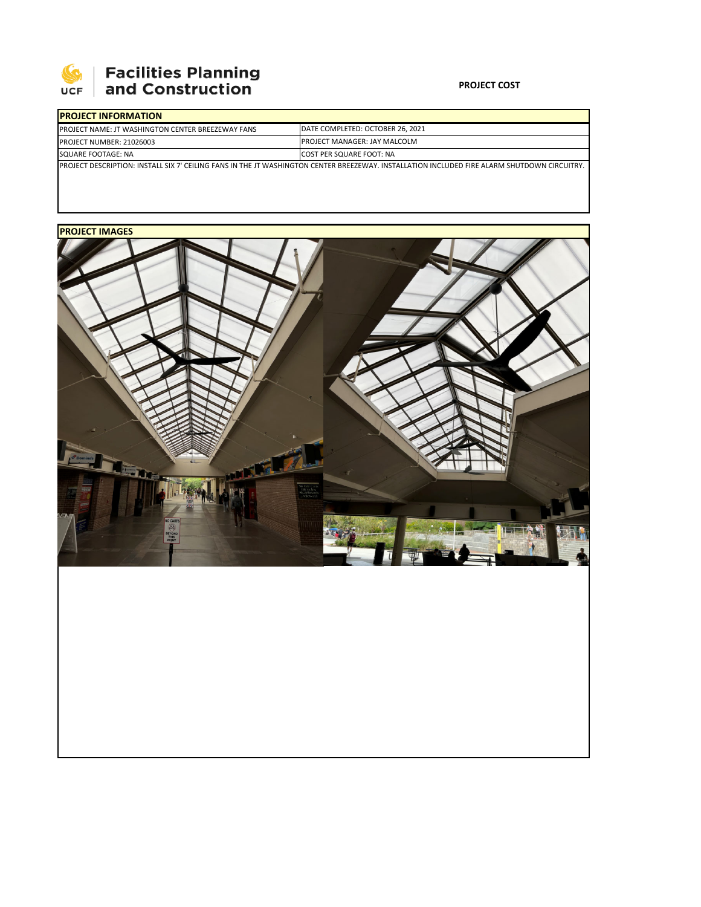

## **Facilities Planning<br>and Construction**

## **PROJECT COST**

| <b>IPROJECT INFORMATION</b>                                                                                                                  |                                     |
|----------------------------------------------------------------------------------------------------------------------------------------------|-------------------------------------|
| <b>IPROJECT NAME: JT WASHINGTON CENTER BREEZEWAY FANS</b>                                                                                    | DATE COMPLETED: OCTOBER 26, 2021    |
| <b>PROJECT NUMBER: 21026003</b>                                                                                                              | <b>PROJECT MANAGER: JAY MALCOLM</b> |
| SQUARE FOOTAGE: NA                                                                                                                           | <b>COST PER SQUARE FOOT: NA</b>     |
| PROJECT DESCRIPTION: INSTALL SIX 7' CEILING FANS IN THE JT WASHINGTON CENTER BREEZEWAY. INSTALLATION INCLUDED FIRE ALARM SHUTDOWN CIRCUITRY. |                                     |